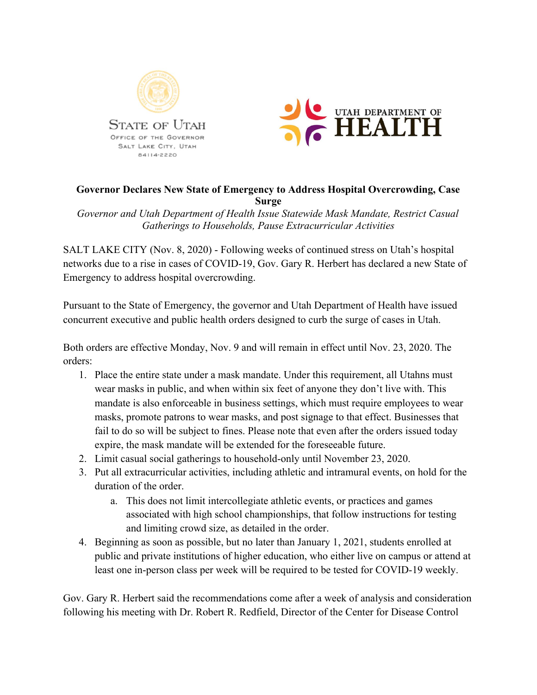



## **Governor Declares New State of Emergency to Address Hospital Overcrowding, Case Surge**

*Governor and Utah Department of Health Issue Statewide Mask Mandate, Restrict Casual Gatherings to Households, Pause Extracurricular Activities*

SALT LAKE CITY (Nov. 8, 2020) - Following weeks of continued stress on Utah's hospital networks due to a rise in cases of COVID-19, Gov. Gary R. Herbert has declared a new State of Emergency to address hospital overcrowding.

Pursuant to the State of Emergency, the governor and Utah Department of Health have issued concurrent executive and public health orders designed to curb the surge of cases in Utah.

Both orders are effective Monday, Nov. 9 and will remain in effect until Nov. 23, 2020. The orders:

- 1. Place the entire state under a mask mandate. Under this requirement, all Utahns must wear masks in public, and when within six feet of anyone they don't live with. This mandate is also enforceable in business settings, which must require employees to wear masks, promote patrons to wear masks, and post signage to that effect. Businesses that fail to do so will be subject to fines. Please note that even after the orders issued today expire, the mask mandate will be extended for the foreseeable future.
- 2. Limit casual social gatherings to household-only until November 23, 2020.
- 3. Put all extracurricular activities, including athletic and intramural events, on hold for the duration of the order.
	- a. This does not limit intercollegiate athletic events, or practices and games associated with high school championships, that follow instructions for testing and limiting crowd size, as detailed in the order.
- 4. Beginning as soon as possible, but no later than January 1, 2021, students enrolled at public and private institutions of higher education, who either live on campus or attend at least one in-person class per week will be required to be tested for COVID-19 weekly.

Gov. Gary R. Herbert said the recommendations come after a week of analysis and consideration following his meeting with Dr. Robert R. Redfield, Director of the Center for Disease Control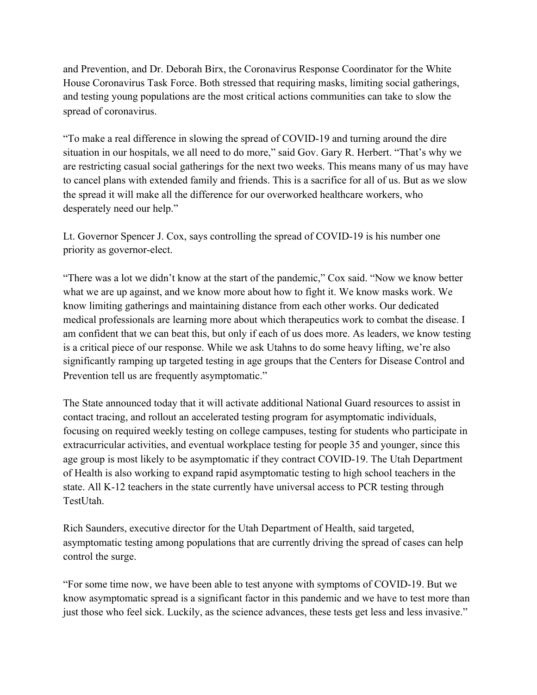and Prevention, and Dr. Deborah Birx, the Coronavirus Response Coordinator for the White House Coronavirus Task Force. Both stressed that requiring masks, limiting social gatherings, and testing young populations are the most critical actions communities can take to slow the spread of coronavirus.

"To make a real difference in slowing the spread of COVID-19 and turning around the dire situation in our hospitals, we all need to do more," said Gov. Gary R. Herbert. "That's why we are restricting casual social gatherings for the next two weeks. This means many of us may have to cancel plans with extended family and friends. This is a sacrifice for all of us. But as we slow the spread it will make all the difference for our overworked healthcare workers, who desperately need our help."

Lt. Governor Spencer J. Cox, says controlling the spread of COVID-19 is his number one priority as governor-elect.

"There was a lot we didn't know at the start of the pandemic," Cox said. "Now we know better what we are up against, and we know more about how to fight it. We know masks work. We know limiting gatherings and maintaining distance from each other works. Our dedicated medical professionals are learning more about which therapeutics work to combat the disease. I am confident that we can beat this, but only if each of us does more. As leaders, we know testing is a critical piece of our response. While we ask Utahns to do some heavy lifting, we're also significantly ramping up targeted testing in age groups that the Centers for Disease Control and Prevention tell us are frequently asymptomatic."

The State announced today that it will activate additional National Guard resources to assist in contact tracing, and rollout an accelerated testing program for asymptomatic individuals, focusing on required weekly testing on college campuses, testing for students who participate in extracurricular activities, and eventual workplace testing for people 35 and younger, since this age group is most likely to be asymptomatic if they contract COVID-19. The Utah Department of Health is also working to expand rapid asymptomatic testing to high school teachers in the state. All K-12 teachers in the state currently have universal access to PCR testing through TestUtah

Rich Saunders, executive director for the Utah Department of Health, said targeted, asymptomatic testing among populations that are currently driving the spread of cases can help control the surge.

"For some time now, we have been able to test anyone with symptoms of COVID-19. But we know asymptomatic spread is a significant factor in this pandemic and we have to test more than just those who feel sick. Luckily, as the science advances, these tests get less and less invasive."